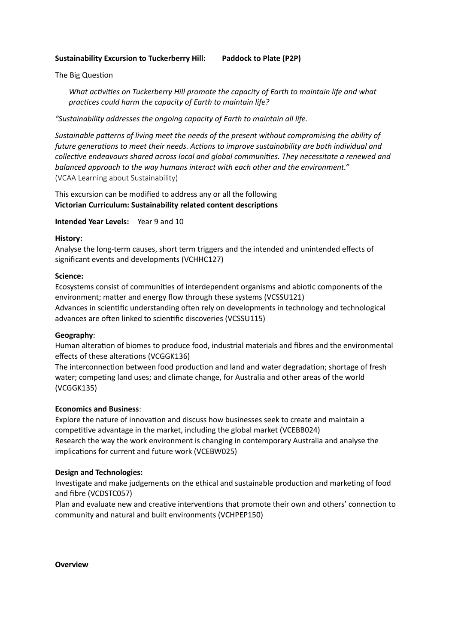# **Sustainability Excursion to Tuckerberry Hill: Paddock to Plate (P2P)**

The Big Question

*What activities on Tuckerberry Hill promote the capacity of Earth to maintain life and what practices could harm the capacity of Earth to maintain life?* 

*"Sustainability addresses the ongoing capacity of Earth to maintain all life.* 

Sustainable patterns of living meet the needs of the present without compromising the ability of future generations to meet their needs. Actions to improve sustainability are both individual and collective endeavours shared across local and global communities. They necessitate a renewed and *balanced approach to the way humans interact with each other and the environment."*  (VCAA Learning about Sustainability)

This excursion can be modified to address any or all the following **Victorian Curriculum: Sustainability related content descriptions** 

**Intended Year Levels:** Year 9 and 10

### **History:**

Analyse the long-term causes, short term triggers and the intended and unintended effects of significant events and developments (VCHHC127)

# **Science:**

Ecosystems consist of communities of interdependent organisms and abiotic components of the environment; matter and energy flow through these systems (VCSSU121) Advances in scientific understanding often rely on developments in technology and technological advances are often linked to scientific discoveries (VCSSU115)

### **Geography**:

Human alteration of biomes to produce food, industrial materials and fibres and the environmental effects of these alterations (VCGGK136)

The interconnection between food production and land and water degradation; shortage of fresh water; competing land uses; and climate change, for Australia and other areas of the world (VCGGK135)

### **Economics and Business**:

Explore the nature of innovation and discuss how businesses seek to create and maintain a competitive advantage in the market, including the global market (VCEBB024) Research the way the work environment is changing in contemporary Australia and analyse the implications for current and future work (VCEBW025)

### **Design and Technologies:**

Investigate and make judgements on the ethical and sustainable production and marketing of food and fibre (VCDSTC057)

Plan and evaluate new and creative interventions that promote their own and others' connection to community and natural and built environments (VCHPEP150)

**Overview**